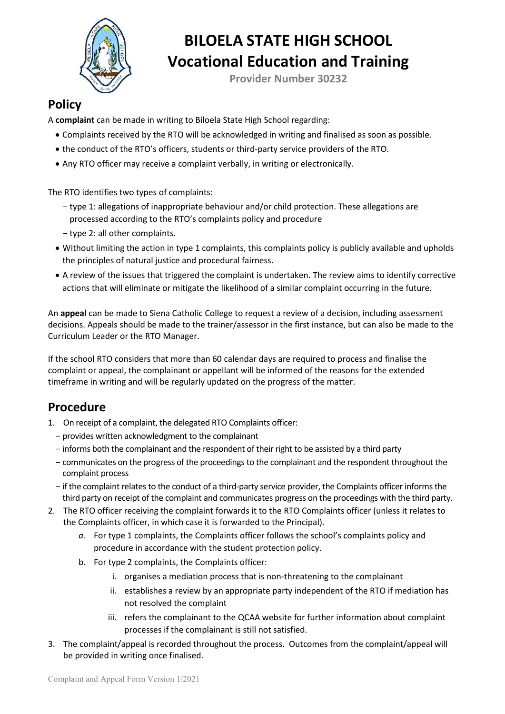

# **BILOELA STATE HIGH SCHOOL Vocational Education and Training**

**Provider Number 30232**

#### **Policy**

A **complaint** can be made in writing to Biloela State High School regarding:

- Complaints received by the RTO will be acknowledged in writing and finalised as soon as possible.
- the conduct of the RTO's officers, students or third-party service providers of the RTO.
- Any RTO officer may receive a complaint verbally, in writing or electronically.

The RTO identifies two types of complaints:

- type 1: allegations of inappropriate behaviour and/or child protection. These allegations are processed according to the RTO's complaints policy and procedure
- type 2: all other complaints.
- Without limiting the action in type 1 complaints, this complaints policy is publicly available and upholds the principles of natural justice and procedural fairness.
- A review of the issues that triggered the complaint is undertaken. The review aims to identify corrective actions that will eliminate or mitigate the likelihood of a similar complaint occurring in the future.

An **appeal** can be made to Siena Catholic College to request a review of a decision, including assessment decisions. Appeals should be made to the trainer/assessor in the first instance, but can also be made to the Curriculum Leader or the RTO Manager.

If the school RTO considers that more than 60 calendar days are required to process and finalise the complaint or appeal, the complainant or appellant will be informed of the reasons for the extended timeframe in writing and will be regularly updated on the progress of the matter.

#### **Procedure**

- 1. On receipt of a complaint, the delegated RTO Complaints officer:
	- provides written acknowledgment to the complainant
	- informs both the complainant and the respondent of their right to be assisted by a third party
	- communicates on the progress of the proceedings to the complainant and the respondent throughout the complaint process
	- if the complaint relates to the conduct of a third-party service provider, the Complaints officer informs the third party on receipt of the complaint and communicates progress on the proceedings with the third party.
- 2. The RTO officer receiving the complaint forwards it to the RTO Complaints officer (unless it relates to the Complaints officer, in which case it is forwarded to the Principal).
	- *a.* For type 1 complaints, the Complaints officer follows the school's complaints policy and procedure in accordance with the student protection policy.
	- b. For type 2 complaints, the Complaints officer:
		- i. organises a mediation process that is non-threatening to the complainant
		- ii. establishes a review by an appropriate party independent of the RTO if mediation has not resolved the complaint
		- iii. refers the complainant to the QCAA website for further information about complaint processes if the complainant is still not satisfied.
- 3. The complaint/appeal is recorded throughout the process. Outcomes from the complaint/appeal will be provided in writing once finalised.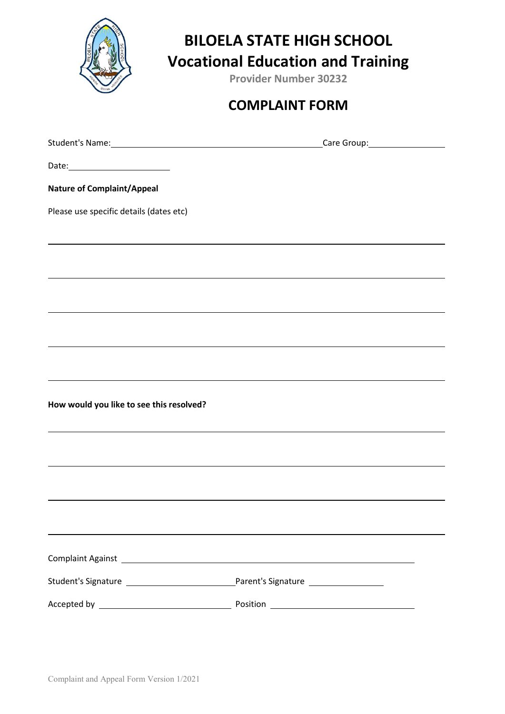

## **BILOELA STATE HIGH SCHOOL Vocational Education and Training**

**Provider Number 30232**

### **COMPLAINT FORM**

| Date: ___________________________                                                                              |                                                                                  |  |  |
|----------------------------------------------------------------------------------------------------------------|----------------------------------------------------------------------------------|--|--|
| <b>Nature of Complaint/Appeal</b>                                                                              |                                                                                  |  |  |
| Please use specific details (dates etc)                                                                        |                                                                                  |  |  |
|                                                                                                                |                                                                                  |  |  |
|                                                                                                                |                                                                                  |  |  |
|                                                                                                                |                                                                                  |  |  |
|                                                                                                                |                                                                                  |  |  |
|                                                                                                                |                                                                                  |  |  |
|                                                                                                                |                                                                                  |  |  |
|                                                                                                                |                                                                                  |  |  |
| How would you like to see this resolved?                                                                       |                                                                                  |  |  |
|                                                                                                                | ,我们也不会有什么。""我们的人,我们也不会有什么?""我们的人,我们也不会有什么?""我们的人,我们也不会有什么?""我们的人,我们也不会有什么?""我们的人 |  |  |
|                                                                                                                |                                                                                  |  |  |
|                                                                                                                |                                                                                  |  |  |
|                                                                                                                |                                                                                  |  |  |
|                                                                                                                |                                                                                  |  |  |
|                                                                                                                |                                                                                  |  |  |
| Complaint Against 2008 2009 2010 2020 2021 2022 2023 2024 2022 2023 2024 2022 2023 2024 2022 2023 2024 2022 20 |                                                                                  |  |  |
|                                                                                                                |                                                                                  |  |  |
|                                                                                                                |                                                                                  |  |  |